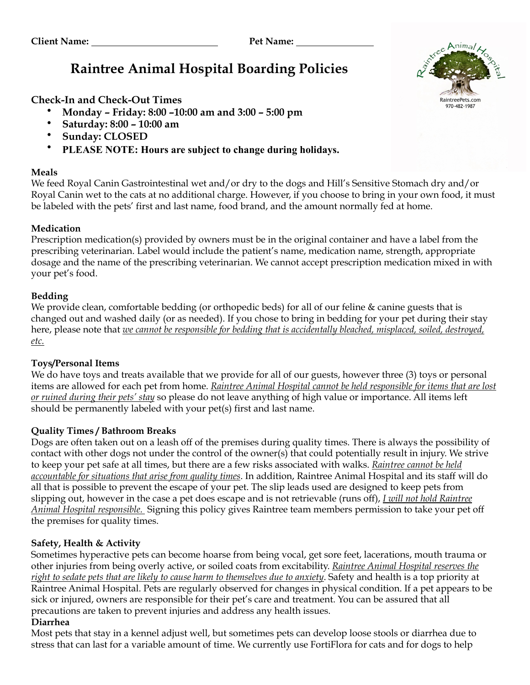# **Raintree Animal Hospital Boarding Policies**

**Check-In and Check-Out Times**

- **Monday Friday: 8:00 –10:00 am and 3:00 5:00 pm**
- **Saturday: 8:00 10:00 am**
- **Sunday: CLOSED**
- **PLEASE NOTE: Hours are subject to change during holidays.**

# **Meals**



We feed Royal Canin Gastrointestinal wet and/or dry to the dogs and Hill's Sensitive Stomach dry and/or Royal Canin wet to the cats at no additional charge. However, if you choose to bring in your own food, it must be labeled with the pets' first and last name, food brand, and the amount normally fed at home.

# **Medication**

Prescription medication(s) provided by owners must be in the original container and have a label from the prescribing veterinarian. Label would include the patient's name, medication name, strength, appropriate dosage and the name of the prescribing veterinarian. We cannot accept prescription medication mixed in with your pet's food.

# **Bedding**

We provide clean, comfortable bedding (or orthopedic beds) for all of our feline & canine guests that is changed out and washed daily (or as needed). If you chose to bring in bedding for your pet during their stay here, please note that *we cannot be responsible for bedding that is accidentally bleached, misplaced, soiled, destroyed, etc.*

#### **Toys/Personal Items**

We do have toys and treats available that we provide for all of our guests, however three (3) toys or personal items are allowed for each pet from home. *Raintree Animal Hospital cannot be held responsible for items that are lost or ruined during their pets' stay* so please do not leave anything of high value or importance. All items left should be permanently labeled with your pet(s) first and last name.

# **Quality Times / Bathroom Breaks**

Dogs are often taken out on a leash off of the premises during quality times. There is always the possibility of contact with other dogs not under the control of the owner(s) that could potentially result in injury. We strive to keep your pet safe at all times, but there are a few risks associated with walks. *Raintree cannot be held accountable for situations that arise from quality times*. In addition, Raintree Animal Hospital and its staff will do all that is possible to prevent the escape of your pet. The slip leads used are designed to keep pets from slipping out, however in the case a pet does escape and is not retrievable (runs off), *I will not hold Raintree Animal Hospital responsible.* Signing this policy gives Raintree team members permission to take your pet off the premises for quality times.

# **Safety, Health & Activity**

Sometimes hyperactive pets can become hoarse from being vocal, get sore feet, lacerations, mouth trauma or other injuries from being overly active, or soiled coats from excitability. *Raintree Animal Hospital reserves the right to sedate pets that are likely to cause harm to themselves due to anxiety*. Safety and health is a top priority at Raintree Animal Hospital. Pets are regularly observed for changes in physical condition. If a pet appears to be sick or injured, owners are responsible for their pet's care and treatment. You can be assured that all precautions are taken to prevent injuries and address any health issues.

#### **Diarrhea**

Most pets that stay in a kennel adjust well, but sometimes pets can develop loose stools or diarrhea due to stress that can last for a variable amount of time. We currently use FortiFlora for cats and for dogs to help